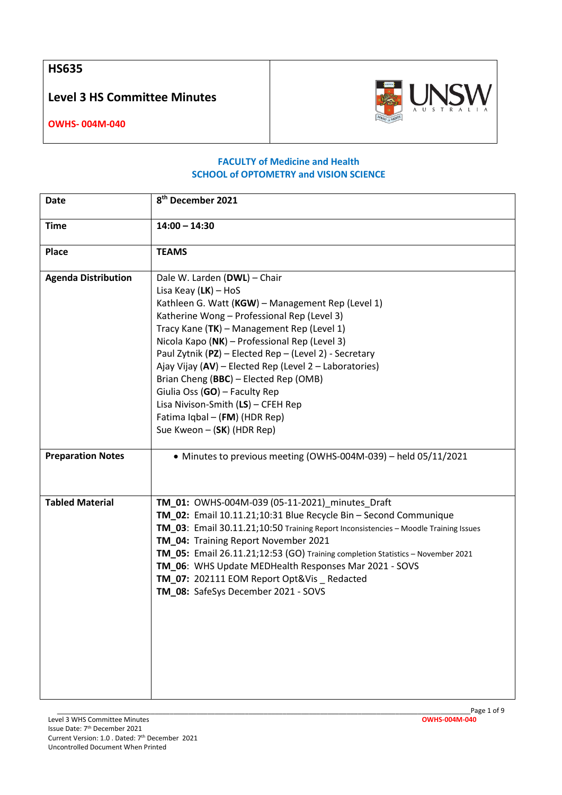**HS635**

**Level 3 HS Committee Minutes**



**OWHS- 004M-040**

## **FACULTY of Medicine and Health SCHOOL of OPTOMETRY and VISION SCIENCE**

| Date                       | 8 <sup>th</sup> December 2021                                                                                                                                                                                                                                                                                                                                                                                                                                                                                                                                |
|----------------------------|--------------------------------------------------------------------------------------------------------------------------------------------------------------------------------------------------------------------------------------------------------------------------------------------------------------------------------------------------------------------------------------------------------------------------------------------------------------------------------------------------------------------------------------------------------------|
| <b>Time</b>                | $14:00 - 14:30$                                                                                                                                                                                                                                                                                                                                                                                                                                                                                                                                              |
| Place                      | <b>TEAMS</b>                                                                                                                                                                                                                                                                                                                                                                                                                                                                                                                                                 |
| <b>Agenda Distribution</b> | Dale W. Larden (DWL) - Chair<br>Lisa Keay $(LK)$ – HoS<br>Kathleen G. Watt (KGW) - Management Rep (Level 1)<br>Katherine Wong - Professional Rep (Level 3)<br>Tracy Kane (TK) - Management Rep (Level 1)<br>Nicola Kapo (NK) - Professional Rep (Level 3)<br>Paul Zytnik (PZ) - Elected Rep - (Level 2) - Secretary<br>Ajay Vijay (AV) - Elected Rep (Level 2 - Laboratories)<br>Brian Cheng (BBC) - Elected Rep (OMB)<br>Giulia Oss (GO) - Faculty Rep<br>Lisa Nivison-Smith (LS) - CFEH Rep<br>Fatima Iqbal - (FM) (HDR Rep)<br>Sue Kweon - (SK) (HDR Rep) |
| <b>Preparation Notes</b>   | • Minutes to previous meeting (OWHS-004M-039) - held 05/11/2021                                                                                                                                                                                                                                                                                                                                                                                                                                                                                              |
| <b>Tabled Material</b>     | TM_01: OWHS-004M-039 (05-11-2021)_minutes_Draft<br>TM_02: Email 10.11.21;10:31 Blue Recycle Bin - Second Communique<br>TM_03: Email 30.11.21;10:50 Training Report Inconsistencies - Moodle Training Issues<br>TM_04: Training Report November 2021<br>TM_05: Email 26.11.21;12:53 (GO) Training completion Statistics - November 2021<br>TM_06: WHS Update MEDHealth Responses Mar 2021 - SOVS<br>TM_07: 202111 EOM Report Opt&Vis _ Redacted<br>TM_08: SafeSys December 2021 - SOVS                                                                        |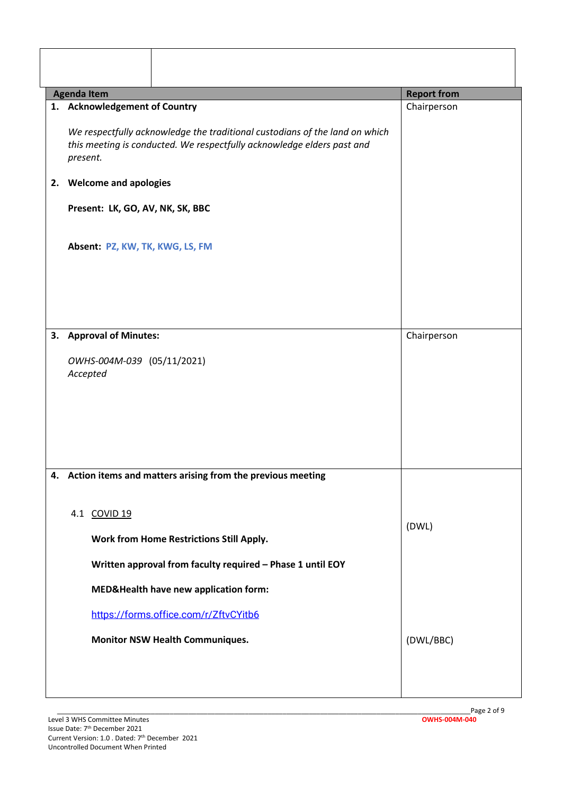|    | <b>Agenda Item</b>                                                                                                                                                                                                            | <b>Report from</b> |
|----|-------------------------------------------------------------------------------------------------------------------------------------------------------------------------------------------------------------------------------|--------------------|
|    | 1. Acknowledgement of Country<br>We respectfully acknowledge the traditional custodians of the land on which<br>this meeting is conducted. We respectfully acknowledge elders past and                                        | Chairperson        |
|    | present.<br>2. Welcome and apologies                                                                                                                                                                                          |                    |
|    | Present: LK, GO, AV, NK, SK, BBC<br>Absent: PZ, KW, TK, KWG, LS, FM                                                                                                                                                           |                    |
| 3. | <b>Approval of Minutes:</b><br>OWHS-004M-039 (05/11/2021)<br>Accepted                                                                                                                                                         | Chairperson        |
| 4. | Action items and matters arising from the previous meeting<br>4.1 COVID 19<br>Work from Home Restrictions Still Apply.<br>Written approval from faculty required - Phase 1 until EOY<br>MED&Health have new application form: | (DWL)              |
|    | https://forms.office.com/r/ZftvCYitb6<br><b>Monitor NSW Health Communiques.</b>                                                                                                                                               | (DWL/BBC)          |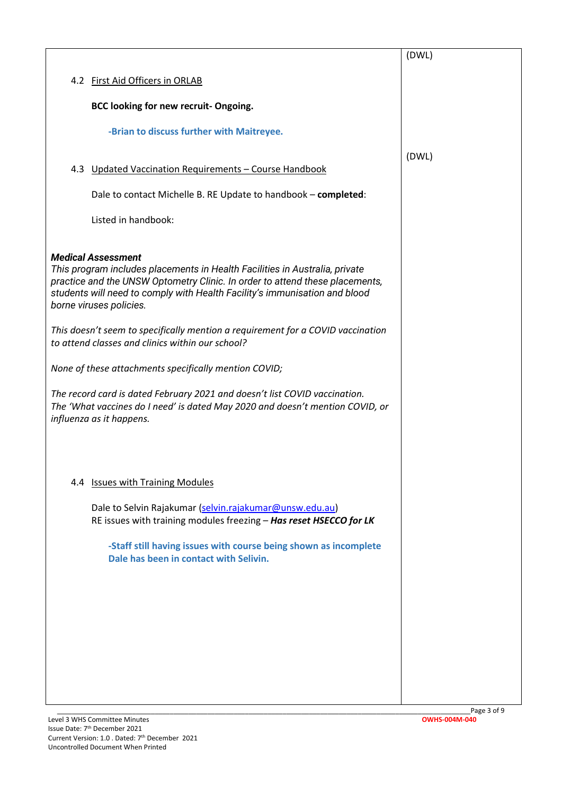|                                                                                                                                                                                                                                                                                                   | (DWL) |
|---------------------------------------------------------------------------------------------------------------------------------------------------------------------------------------------------------------------------------------------------------------------------------------------------|-------|
| 4.2 First Aid Officers in ORLAB                                                                                                                                                                                                                                                                   |       |
| BCC looking for new recruit- Ongoing.                                                                                                                                                                                                                                                             |       |
|                                                                                                                                                                                                                                                                                                   |       |
| -Brian to discuss further with Maitreyee.                                                                                                                                                                                                                                                         |       |
| 4.3 Updated Vaccination Requirements - Course Handbook                                                                                                                                                                                                                                            | (DWL) |
| Dale to contact Michelle B. RE Update to handbook - completed:                                                                                                                                                                                                                                    |       |
| Listed in handbook:                                                                                                                                                                                                                                                                               |       |
|                                                                                                                                                                                                                                                                                                   |       |
| <b>Medical Assessment</b><br>This program includes placements in Health Facilities in Australia, private<br>practice and the UNSW Optometry Clinic. In order to attend these placements,<br>students will need to comply with Health Facility's immunisation and blood<br>borne viruses policies. |       |
| This doesn't seem to specifically mention a requirement for a COVID vaccination<br>to attend classes and clinics within our school?                                                                                                                                                               |       |
| None of these attachments specifically mention COVID;                                                                                                                                                                                                                                             |       |
| The record card is dated February 2021 and doesn't list COVID vaccination.<br>The 'What vaccines do I need' is dated May 2020 and doesn't mention COVID, or<br>influenza as it happens.                                                                                                           |       |
|                                                                                                                                                                                                                                                                                                   |       |
| 4.4 Issues with Training Modules                                                                                                                                                                                                                                                                  |       |
| Dale to Selvin Rajakumar (selvin.rajakumar@unsw.edu.au)<br>RE issues with training modules freezing - Has reset HSECCO for LK                                                                                                                                                                     |       |
|                                                                                                                                                                                                                                                                                                   |       |
| -Staff still having issues with course being shown as incomplete<br>Dale has been in contact with Selivin.                                                                                                                                                                                        |       |
|                                                                                                                                                                                                                                                                                                   |       |
|                                                                                                                                                                                                                                                                                                   |       |
|                                                                                                                                                                                                                                                                                                   |       |
|                                                                                                                                                                                                                                                                                                   |       |
|                                                                                                                                                                                                                                                                                                   |       |
|                                                                                                                                                                                                                                                                                                   |       |
|                                                                                                                                                                                                                                                                                                   |       |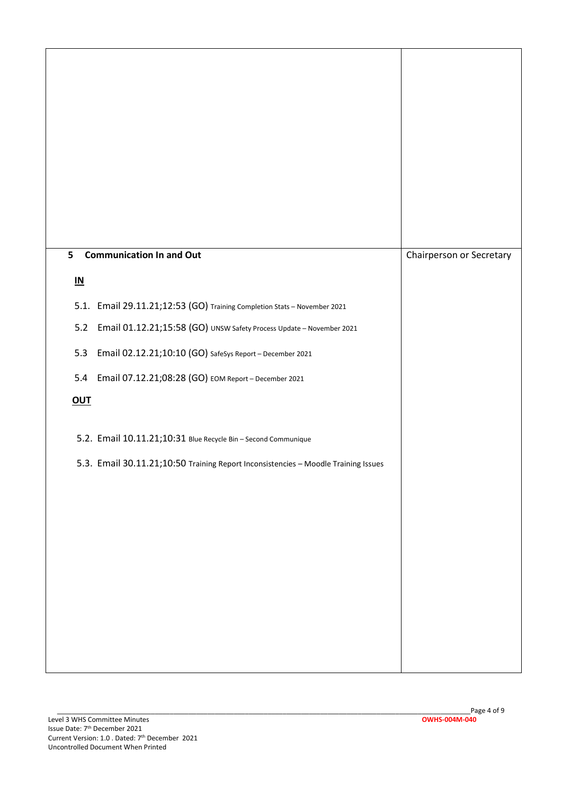| <b>Communication In and Out</b><br>5                                               | Chairperson or Secretary |
|------------------------------------------------------------------------------------|--------------------------|
| $\underline{\mathsf{IN}}$                                                          |                          |
| 5.1. Email 29.11.21;12:53 (GO) Training Completion Stats - November 2021           |                          |
| Email 01.12.21;15:58 (GO) UNSW Safety Process Update - November 2021<br>$5.2$      |                          |
| Email 02.12.21;10:10 (GO) SafeSys Report - December 2021<br>5.3                    |                          |
| Email 07.12.21;08:28 (GO) EOM Report - December 2021<br>5.4                        |                          |
| <b>OUT</b>                                                                         |                          |
| 5.2. Email 10.11.21;10:31 Blue Recycle Bin - Second Communique                     |                          |
| 5.3. Email 30.11.21;10:50 Training Report Inconsistencies - Moodle Training Issues |                          |
|                                                                                    |                          |
|                                                                                    |                          |
|                                                                                    |                          |
|                                                                                    |                          |
|                                                                                    |                          |
|                                                                                    |                          |
|                                                                                    |                          |
|                                                                                    |                          |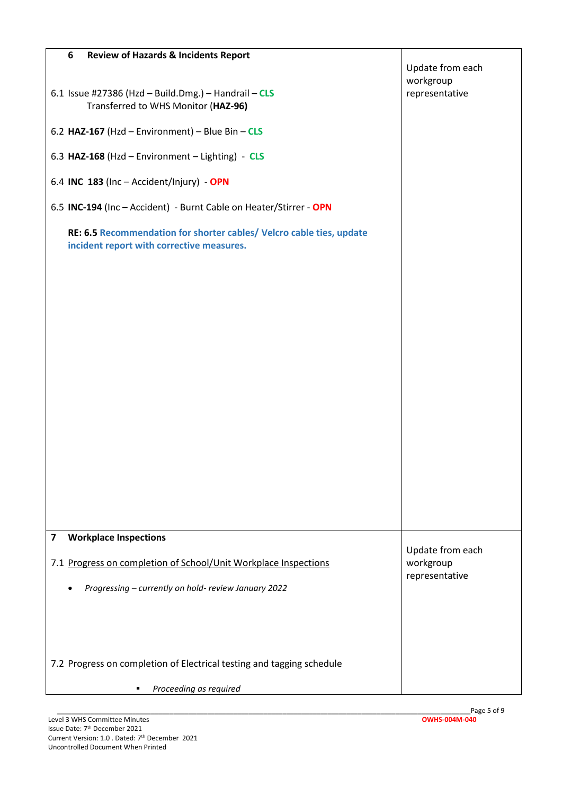| <b>Review of Hazards &amp; Incidents Report</b><br>6                                                              |                               |
|-------------------------------------------------------------------------------------------------------------------|-------------------------------|
|                                                                                                                   | Update from each<br>workgroup |
| 6.1 Issue #27386 (Hzd - Build.Dmg.) - Handrail - $CLS$<br>Transferred to WHS Monitor (HAZ-96)                     | representative                |
| 6.2 HAZ-167 (Hzd - Environment) - Blue Bin - $CLS$                                                                |                               |
| 6.3 HAZ-168 (Hzd - Environment - Lighting) - CLS                                                                  |                               |
| 6.4 INC 183 (Inc - Accident/Injury) - OPN                                                                         |                               |
| 6.5 INC-194 (Inc - Accident) - Burnt Cable on Heater/Stirrer - OPN                                                |                               |
| RE: 6.5 Recommendation for shorter cables/ Velcro cable ties, update<br>incident report with corrective measures. |                               |
| <b>Workplace Inspections</b><br>7                                                                                 |                               |
| 7.1 Progress on completion of School/Unit Workplace Inspections                                                   | Update from each<br>workgroup |
| Progressing - currently on hold- review January 2022                                                              | representative                |
| 7.2 Progress on completion of Electrical testing and tagging schedule                                             |                               |
| Proceeding as required                                                                                            |                               |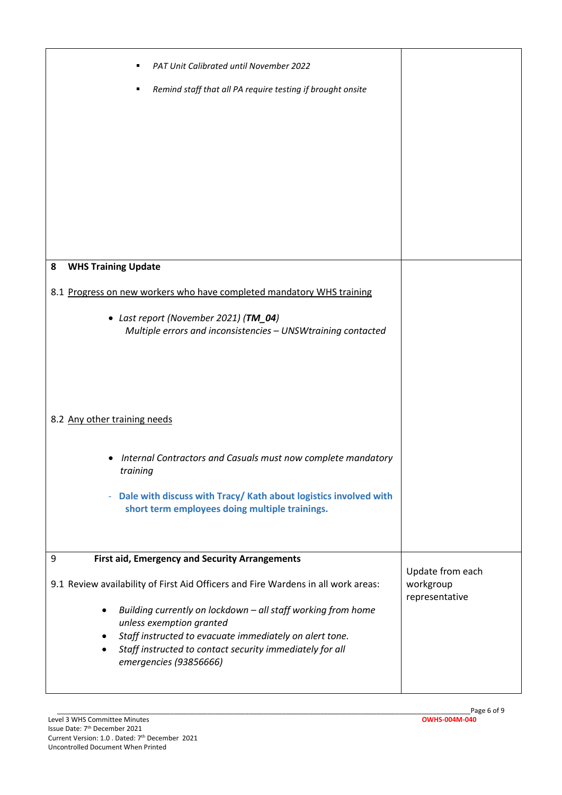| PAT Unit Calibrated until November 2022<br>Remind staff that all PA require testing if brought onsite<br>٠                                                                                                                                                                                                                                                                                                                   |                                                 |
|------------------------------------------------------------------------------------------------------------------------------------------------------------------------------------------------------------------------------------------------------------------------------------------------------------------------------------------------------------------------------------------------------------------------------|-------------------------------------------------|
| <b>WHS Training Update</b><br>8                                                                                                                                                                                                                                                                                                                                                                                              |                                                 |
| 8.1 Progress on new workers who have completed mandatory WHS training<br>• Last report (November 2021) (TM_04)<br>Multiple errors and inconsistencies - UNSWtraining contacted                                                                                                                                                                                                                                               |                                                 |
| 8.2 Any other training needs                                                                                                                                                                                                                                                                                                                                                                                                 |                                                 |
| Internal Contractors and Casuals must now complete mandatory<br>٠<br>training<br>Dale with discuss with Tracy/Kath about logistics involved with<br>÷.<br>short term employees doing multiple trainings.                                                                                                                                                                                                                     |                                                 |
| First aid, Emergency and Security Arrangements<br>9<br>9.1 Review availability of First Aid Officers and Fire Wardens in all work areas:<br>Building currently on lockdown - all staff working from home<br>$\bullet$<br>unless exemption granted<br>Staff instructed to evacuate immediately on alert tone.<br>$\bullet$<br>Staff instructed to contact security immediately for all<br>$\bullet$<br>emergencies (93856666) | Update from each<br>workgroup<br>representative |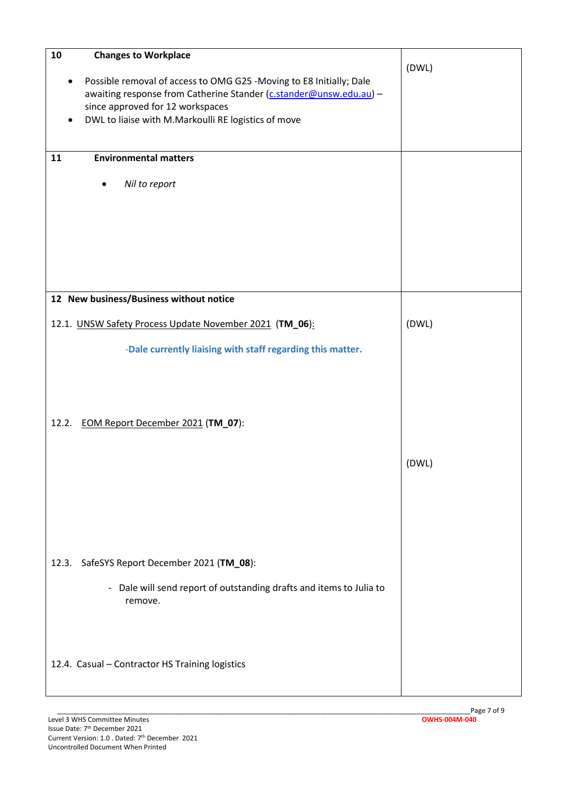| ${\bf 10}$<br><b>Changes to Workplace</b><br>Possible removal of access to OMG G25 -Moving to E8 Initially; Dale<br>awaiting response from Catherine Stander (c.stander@unsw.edu.au) -<br>since approved for 12 workspaces<br>DWL to liaise with M.Markoulli RE logistics of move<br><b>Environmental matters</b><br>11<br>Nil to report | (DWL) |
|------------------------------------------------------------------------------------------------------------------------------------------------------------------------------------------------------------------------------------------------------------------------------------------------------------------------------------------|-------|
| 12 New business/Business without notice                                                                                                                                                                                                                                                                                                  |       |
| 12.1. UNSW Safety Process Update November 2021 (TM_06):                                                                                                                                                                                                                                                                                  | (DWL) |
| -Dale currently liaising with staff regarding this matter.                                                                                                                                                                                                                                                                               |       |
| EOM Report December 2021 (TM_07):<br>12.2.                                                                                                                                                                                                                                                                                               |       |
|                                                                                                                                                                                                                                                                                                                                          | (DWL) |
| SafeSYS Report December 2021 (TM_08):<br>12.3.                                                                                                                                                                                                                                                                                           |       |
| - Dale will send report of outstanding drafts and items to Julia to<br>remove.                                                                                                                                                                                                                                                           |       |
| 12.4. Casual - Contractor HS Training logistics                                                                                                                                                                                                                                                                                          |       |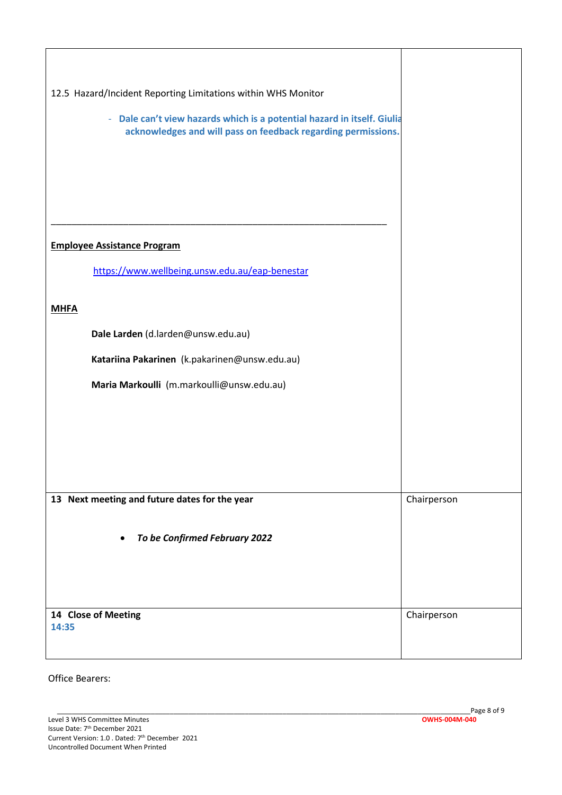| 12.5 Hazard/Incident Reporting Limitations within WHS Monitor                                                                            |             |
|------------------------------------------------------------------------------------------------------------------------------------------|-------------|
| - Dale can't view hazards which is a potential hazard in itself. Giulia<br>acknowledges and will pass on feedback regarding permissions. |             |
|                                                                                                                                          |             |
| <b>Employee Assistance Program</b>                                                                                                       |             |
| https://www.wellbeing.unsw.edu.au/eap-benestar                                                                                           |             |
| <b>MHFA</b>                                                                                                                              |             |
| Dale Larden (d.larden@unsw.edu.au)                                                                                                       |             |
| Katariina Pakarinen (k.pakarinen@unsw.edu.au)                                                                                            |             |
| Maria Markoulli (m.markoulli@unsw.edu.au)                                                                                                |             |
|                                                                                                                                          |             |
|                                                                                                                                          |             |
|                                                                                                                                          |             |
| 13 Next meeting and future dates for the year                                                                                            | Chairperson |
| To be Confirmed February 2022                                                                                                            |             |
|                                                                                                                                          |             |
| 14 Close of Meeting<br>14:35                                                                                                             | Chairperson |

Office Bearers: